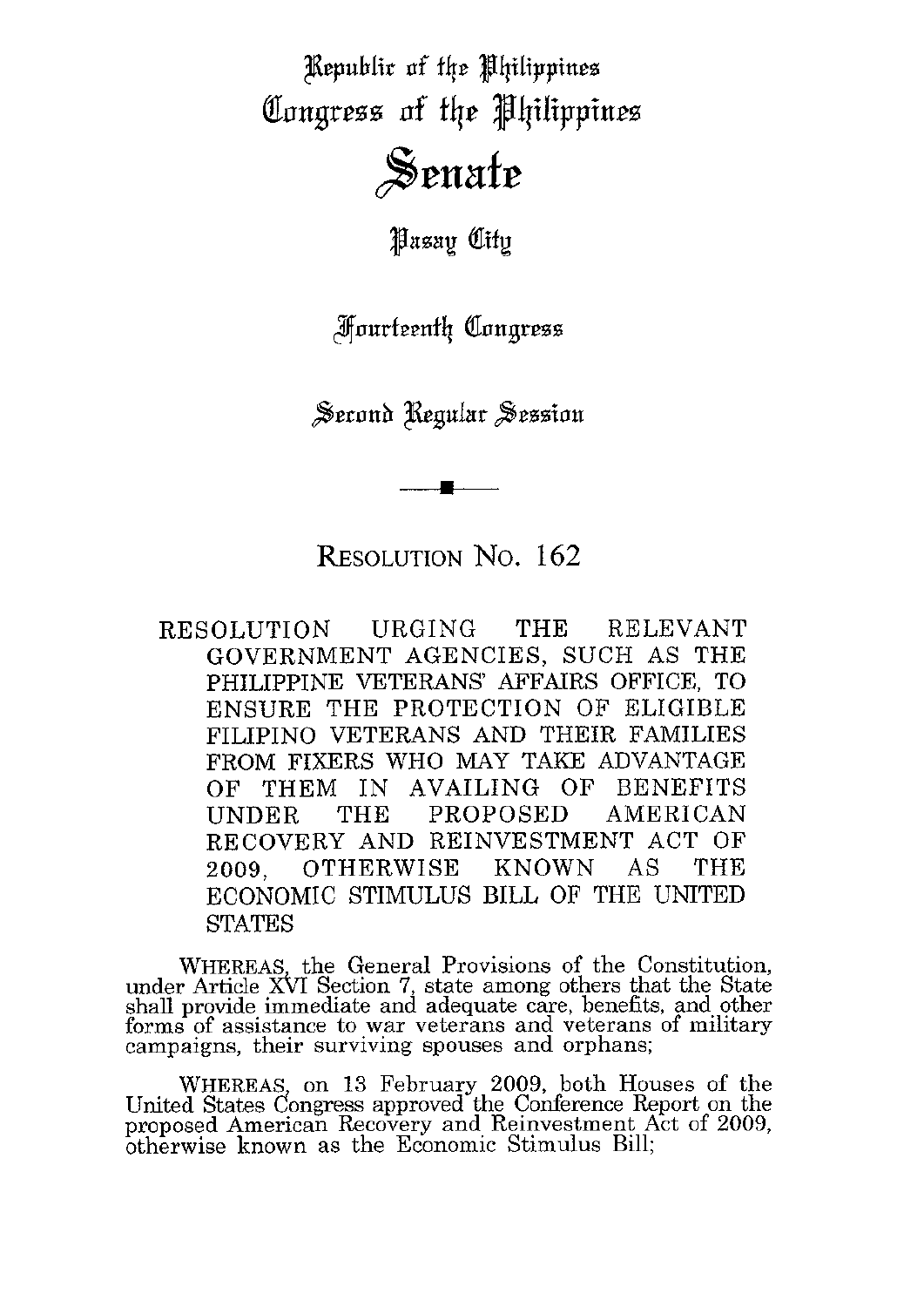Republic of the Philippines Congress of the Philippines Senate

**Pasay City** 

**Fourteenth Congress** 

Serond Regular Session

RESOLUTION No. 162

RESOLUTION URGING THE RELEVANT GOVERNMENT AGENCIES, SUCH AS THE PHILIPPINE VETERANS AFFAIRS OFFICE, TO ENSURE THE PROTECTION OF ELIGIBLE FILIPINO VETERANS AND THEIR FAMILIES<br>FROM FIXERS WHO MAY TAKE ADVANTAGE<br>CE TIURM AN AVAILING OF PENERITS OF THEM IN AVAILING OF BENEFITS UNDER THE PROPOSED AMERICAN RECOVERY AND REINVESTMENT ACT OF 2009, OTHERWISE KNOWN AS THE ECONOMIC STIMULUS BILL OF THE UNITED **STATES** 

WHEREAS, the General Provisions of the Constitution, under Article XbI Section 7, state among others that the State shall provide immediate and adequate care, benefits, and other forms of assistance to war veterans and veterans of military campaigns, their surviving spouses and orphans;

WHEREAS, on 13 February 2009, both Houses of the United States Congress approved the Conference Report on the proposed American Recovery and Reinvestment Act of 2009, btherwise known as the Economic Stimulus Bill;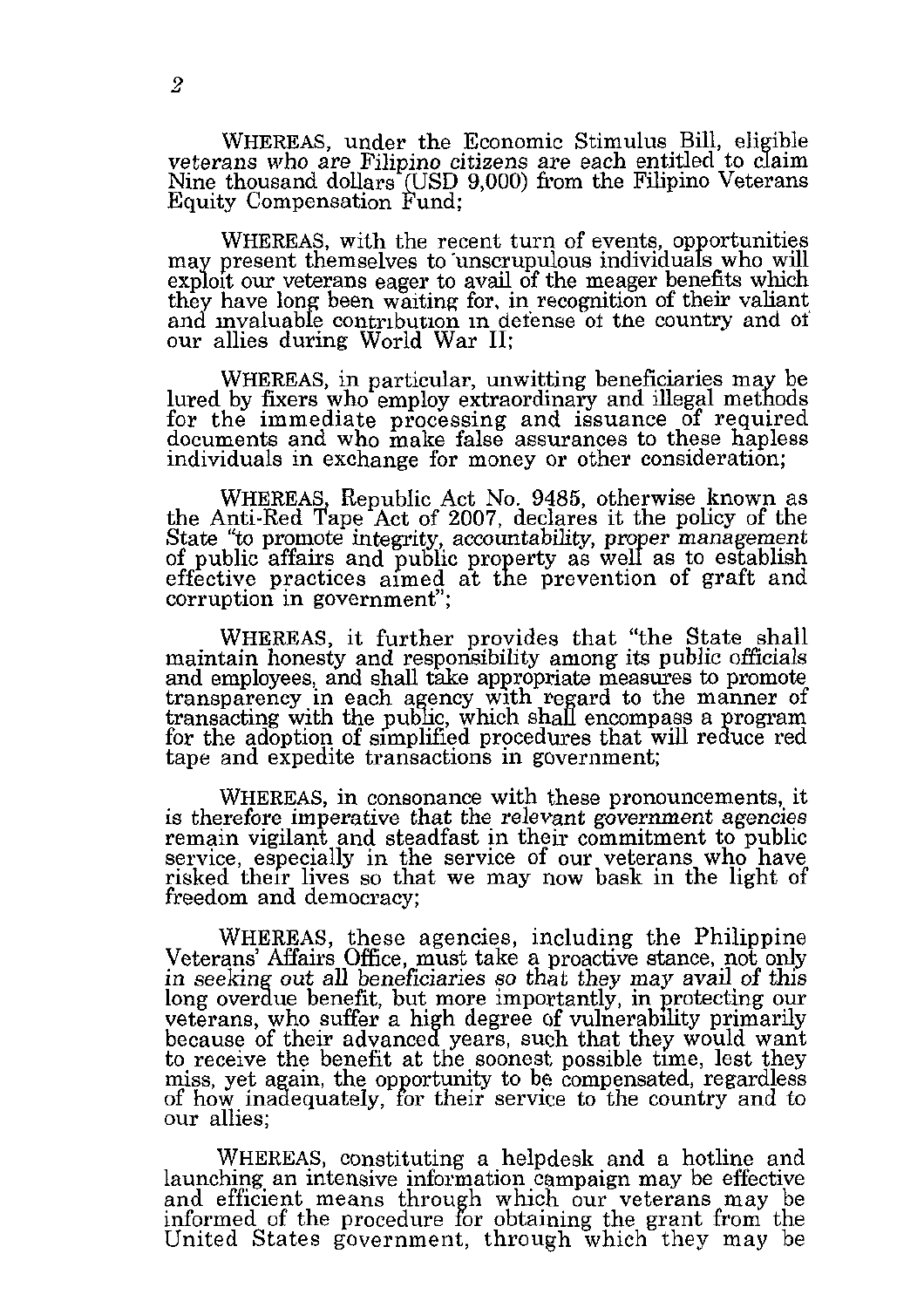WHEREAS, under the Economic Stimulus Bill, eligible veterans who are Filipino citizens are each entitled to claim Nine thousand dollars (USD 9,000) from the Filipino Veterans<br>Equity Compensation Fund;

WHEREAS, with the recent turn of events, opportunities may present themselves to unscrupulous individuals who will exploit our veterans eager to avail of the meager benefits which they have long been waiting for, in recognition of their valiant and invaluable contribution in defense of the country and of our allies during World War II:

WHEREAS, in particular, unwitting beneficiaries may be lured by fixers who employ extraordinary and illegal methods for the immediate processing and issuance of required documents and who make false assurances to these hapless individuals in exchange for money or other consideration;

WHEREAS, Republic Act No. 9485, otherwise known as the Anti-Red Tape Act of 2007, declares it the policy of the State "to promote integrity, accountability, proper management of public affairs and public property as well as to establish effective practices aimed at the prevention of graft and corruption in government";

WHEREAS, it further provides that "the State shall maintain honesty and responsibility among its public officials and employees, and shall take appropriate measures to promote transparency in each agency with regard to the manner of transacting with the public, which shall encompass a program for the adoption of simplified procedures that will reduce red tape and expedite transactions in government;

WHEREAS, in consonance with these pronouncements, it is therefore imperative that the relevant government agencies remain vigilant and steadfast in their commitment to public service, especially in the service of our veterans who have risked their lives so that we may now bask in the light of freedom and democracy;

WHEREAS, these agencies, including the Philippine Veterans' Affairs Office, must take a proactive stance, not only in seeking out all beneficiaries so that they may avail of this long overdue benefit, but more importantly, in protecting our veterans, who suffer a high degree of vulnerability primarily because of their advanced years, such that they would want to receive the benefit at the soonest possible time, lest they miss, yet again, the opportunity to be compensated, regardless of how inadequately, for their service to the country and to our allies:

WHEREAS, constituting a helpdesk and a hotline and launching an intensive information campaign may be effective and efficient means through which our veterans may be informed of the procedure for obtaining the grant from the United States government, through which they may be